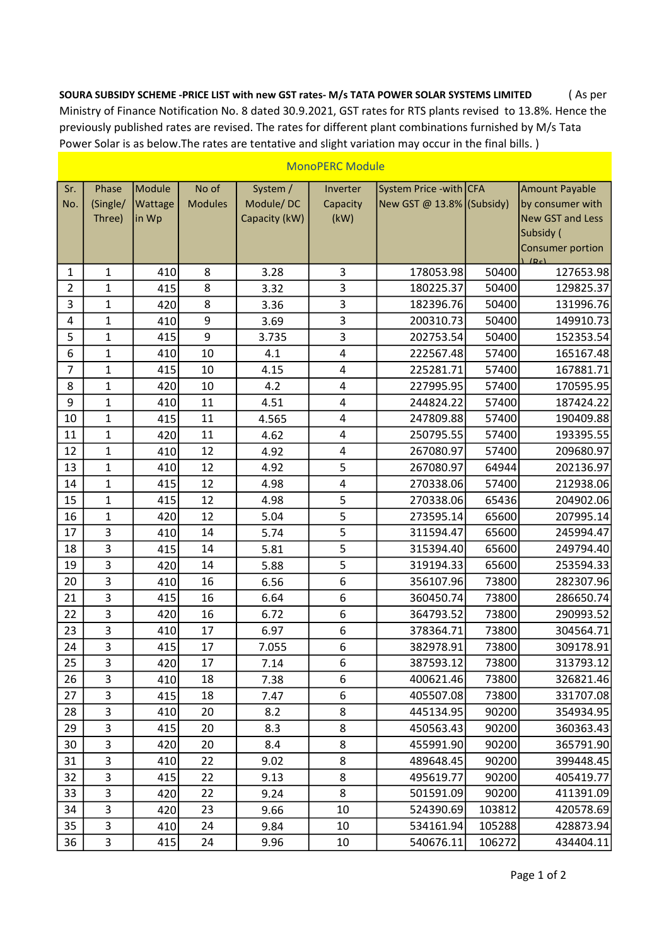SOURA SUBSIDY SCHEME -PRICE LIST with new GST rates- M/s TATA POWER SOLAR SYSTEMS LIMITED ( As per Ministry of Finance Notification No. 8 dated 30.9.2021, GST rates for RTS plants revised to 13.8%. Hence the previously published rates are revised. The rates for different plant combinations furnished by M/s Tata Power Solar is as below.The rates are tentative and slight variation may occur in the final bills. )

| Sr.            | Phase          | Module  | No of          | System /      | Inverter                | System Price - with CFA   |        | <b>Amount Payable</b>   |
|----------------|----------------|---------|----------------|---------------|-------------------------|---------------------------|--------|-------------------------|
| No.            | (Single/       | Wattage | <b>Modules</b> | Module/DC     | Capacity                | New GST @ 13.8% (Subsidy) |        | by consumer with        |
|                | Three)         | in Wp   |                | Capacity (kW) | (kW)                    |                           |        | <b>New GST and Less</b> |
|                |                |         |                |               |                         |                           |        | Subsidy (               |
|                |                |         |                |               |                         |                           |        | Consumer portion<br>10c |
| $\mathbf{1}$   | $\mathbf{1}$   | 410     | 8              | 3.28          | 3                       | 178053.98                 | 50400  | 127653.98               |
| $\overline{2}$ | $\mathbf{1}$   | 415     | 8              | 3.32          | 3                       | 180225.37                 | 50400  | 129825.37               |
| 3              | $\mathbf{1}$   | 420     | 8              | 3.36          | 3                       | 182396.76                 | 50400  | 131996.76               |
| 4              | $\mathbf{1}$   | 410     | 9              | 3.69          | 3                       | 200310.73                 | 50400  | 149910.73               |
| 5              | $\mathbf{1}$   | 415     | 9              | 3.735         | 3                       | 202753.54                 | 50400  | 152353.54               |
| 6              | $\mathbf{1}$   | 410     | 10             | 4.1           | $\overline{\mathbf{4}}$ | 222567.48                 | 57400  | 165167.48               |
| $\overline{7}$ | $\mathbf{1}$   | 415     | 10             | 4.15          | $\overline{\mathbf{4}}$ | 225281.71                 | 57400  | 167881.71               |
| 8              | $\mathbf{1}$   | 420     | 10             | 4.2           | 4                       | 227995.95                 | 57400  | 170595.95               |
| 9              | $\mathbf{1}$   | 410     | 11             | 4.51          | 4                       | 244824.22                 | 57400  | 187424.22               |
| 10             | $\mathbf{1}$   | 415     | 11             | 4.565         | 4                       | 247809.88                 | 57400  | 190409.88               |
| 11             | $\mathbf{1}$   | 420     | 11             | 4.62          | $\overline{\mathbf{4}}$ | 250795.55                 | 57400  | 193395.55               |
| 12             | $\mathbf{1}$   | 410     | 12             | 4.92          | 4                       | 267080.97                 | 57400  | 209680.97               |
| 13             | $\mathbf{1}$   | 410     | 12             | 4.92          | 5                       | 267080.97                 | 64944  | 202136.97               |
| 14             | $\mathbf{1}$   | 415     | 12             | 4.98          | $\pmb{4}$               | 270338.06                 | 57400  | 212938.06               |
| 15             | $\mathbf{1}$   | 415     | 12             | 4.98          | 5                       | 270338.06                 | 65436  | 204902.06               |
| 16             | $\mathbf{1}$   | 420     | 12             | 5.04          | 5                       | 273595.14                 | 65600  | 207995.14               |
| 17             | 3              | 410     | 14             | 5.74          | 5                       | 311594.47                 | 65600  | 245994.47               |
| 18             | 3              | 415     | 14             | 5.81          | 5                       | 315394.40                 | 65600  | 249794.40               |
| 19             | 3              | 420     | 14             | 5.88          | 5                       | 319194.33                 | 65600  | 253594.33               |
| 20             | 3              | 410     | 16             | 6.56          | 6                       | 356107.96                 | 73800  | 282307.96               |
| 21             | 3              | 415     | 16             | 6.64          | $\boldsymbol{6}$        | 360450.74                 | 73800  | 286650.74               |
| 22             | 3              | 420     | 16             | 6.72          | 6                       | 364793.52                 | 73800  | 290993.52               |
| 23             | 3              | 410     | 17             | 6.97          | 6                       | 378364.71                 | 73800  | 304564.71               |
| 24             | $\overline{3}$ | 415     | 17             | 7.055         | 6                       | 382978.91                 | 73800  | 309178.91               |
| 25             | 3              | 420     | 17             | 7.14          | 6                       | 387593.12                 | 73800  | 313793.12               |
| 26             | 3              | 410     | 18             | 7.38          | 6                       | 400621.46                 | 73800  | 326821.46               |
| 27             | 3              | 415     | 18             | 7.47          | 6                       | 405507.08                 | 73800  | 331707.08               |
| 28             | 3              | 410     | 20             | 8.2           | 8                       | 445134.95                 | 90200  | 354934.95               |
| 29             | 3              | 415     | 20             | 8.3           | 8                       | 450563.43                 | 90200  | 360363.43               |
| 30             | 3              | 420     | 20             | 8.4           | 8                       | 455991.90                 | 90200  | 365791.90               |
| 31             | 3              | 410     | 22             | 9.02          | 8                       | 489648.45                 | 90200  | 399448.45               |
| 32             | 3              | 415     | 22             | 9.13          | 8                       | 495619.77                 | 90200  | 405419.77               |
| 33             | 3              | 420     | 22             | 9.24          | 8                       | 501591.09                 | 90200  | 411391.09               |
| 34             | 3              | 420     | 23             | 9.66          | 10                      | 524390.69                 | 103812 | 420578.69               |
| 35             | 3              | 410     | 24             | 9.84          | 10                      | 534161.94                 | 105288 | 428873.94               |
| 36             | 3              | 415     | 24             | 9.96          | 10                      | 540676.11                 | 106272 | 434404.11               |

## MonoPERC Module